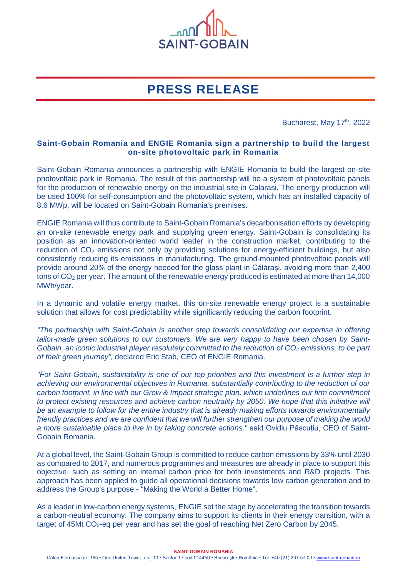

# **PRESS RELEASE**

Bucharest, May 17<sup>th</sup>, 2022

## **Saint-Gobain Romania and ENGIE Romania sign a partnership to build the largest on-site photovoltaic park in Romania**

Saint-Gobain Romania announces a partnership with ENGIE Romania to build the largest on-site photovoltaic park in Romania. The result of this partnership will be a system of photovoltaic panels for the production of renewable energy on the industrial site in Calarasi. The energy production will be used 100% for self-consumption and the photovoltaic system, which has an installed capacity of 8.6 MWp, will be located on Saint-Gobain Romania's premises.

ENGIE Romania will thus contribute to Saint-Gobain Romania's decarbonisation efforts by developing an on-site renewable energy park and supplying green energy. Saint-Gobain is consolidating its position as an innovation-oriented world leader in the construction market, contributing to the reduction of CO<sub>2</sub> emissions not only by providing solutions for energy-efficient buildings, but also consistently reducing its emissions in manufacturing. The ground-mounted photovoltaic panels will provide around 20% of the energy needed for the glass plant in Călărași, avoiding more than 2,400 tons of  $CO<sub>2</sub>$  per year. The amount of the renewable energy produced is estimated at more than 14,000 MWh/year.

In a dynamic and volatile energy market, this on-site renewable energy project is a sustainable solution that allows for cost predictability while significantly reducing the carbon footprint.

*"The partnership with Saint-Gobain is another step towards consolidating our expertise in offering tailor-made green solutions to our customers. We are very happy to have been chosen by Saint-Gobain, an iconic industrial player resolutely committed to the reduction of CO<sup>2</sup> emissions, to be part of their green journey",* declared Eric Stab, CEO of ENGIE Romania.

*"For Saint-Gobain, sustainability is one of our top priorities and this investment is a further step in achieving our environmental objectives in Romania, substantially contributing to the reduction of our carbon footprint, in line with our Grow & Impact strategic plan, which underlines our firm commitment*  to protect existing resources and achieve carbon neutrality by 2050. We hope that this initiative will *be an example to follow for the entire industry that is already making efforts towards environmentally friendly practices and we are confident that we will further strengthen our purpose of making the world a more sustainable place to live in by taking concrete actions,"* said Ovidiu Păscuțiu, CEO of Saint-Gobain Romania.

At a global level, the Saint-Gobain Group is committed to reduce carbon emissions by 33% until 2030 as compared to 2017, and numerous programmes and measures are already in place to support this objective, such as setting an internal carbon price for both investments and R&D projects. This approach has been applied to guide all operational decisions towards low carbon generation and to address the Group's purpose - "Making the World a Better Home".

As a leader in low-carbon energy systems, ENGIE set the stage by accelerating the transition towards a carbon-neutral economy. The company aims to support its clients in their energy transition, with a target of 45Mt  $CO<sub>2</sub>$ -eq per year and has set the goal of reaching Net Zero Carbon by 2045.